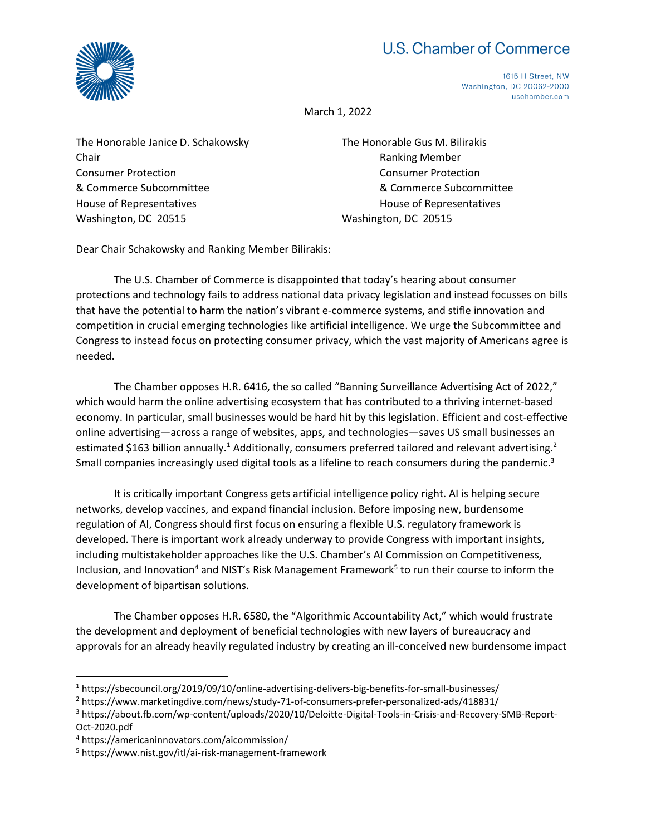## U.S. Chamber of Commerce



1615 H Street, NW Washington, DC 20062-2000 uschamber.com

March 1, 2022

The Honorable Janice D. Schakowsky The Honorable Gus M. Bilirakis Chair **Chair** Ranking Member Consumer Protection Consumer Protection House of Representatives **House of Representatives House of Representatives** Washington, DC 20515 Washington, DC 20515

& Commerce Subcommittee & Commerce Subcommittee

Dear Chair Schakowsky and Ranking Member Bilirakis:

The U.S. Chamber of Commerce is disappointed that today's hearing about consumer protections and technology fails to address national data privacy legislation and instead focusses on bills that have the potential to harm the nation's vibrant e-commerce systems, and stifle innovation and competition in crucial emerging technologies like artificial intelligence. We urge the Subcommittee and Congress to instead focus on protecting consumer privacy, which the vast majority of Americans agree is needed.

The Chamber opposes H.R. 6416, the so called "Banning Surveillance Advertising Act of 2022," which would harm the online advertising ecosystem that has contributed to a thriving internet-based economy. In particular, small businesses would be hard hit by this legislation. Efficient and cost-effective online advertising—across a range of websites, apps, and technologies—saves US small businesses an estimated \$163 billion annually.<sup>1</sup> Additionally, consumers preferred tailored and relevant advertising.<sup>2</sup> Small companies increasingly used digital tools as a lifeline to reach consumers during the pandemic.<sup>3</sup>

It is critically important Congress gets artificial intelligence policy right. AI is helping secure networks, develop vaccines, and expand financial inclusion. Before imposing new, burdensome regulation of AI, Congress should first focus on ensuring a flexible U.S. regulatory framework is developed. There is important work already underway to provide Congress with important insights, including multistakeholder approaches like the U.S. Chamber's AI Commission on Competitiveness, Inclusion, and Innovation<sup>4</sup> and NIST's Risk Management Framework<sup>5</sup> to run their course to inform the development of bipartisan solutions.

The Chamber opposes H.R. 6580, the "Algorithmic Accountability Act," which would frustrate the development and deployment of beneficial technologies with new layers of bureaucracy and approvals for an already heavily regulated industry by creating an ill-conceived new burdensome impact

<sup>1</sup> https://sbecouncil.org/2019/09/10/online-advertising-delivers-big-benefits-for-small-businesses/

<sup>2</sup> https://www.marketingdive.com/news/study-71-of-consumers-prefer-personalized-ads/418831/

<sup>3</sup> https://about.fb.com/wp-content/uploads/2020/10/Deloitte-Digital-Tools-in-Crisis-and-Recovery-SMB-Report-Oct-2020.pdf

<sup>4</sup> https://americaninnovators.com/aicommission/

<sup>5</sup> https://www.nist.gov/itl/ai-risk-management-framework